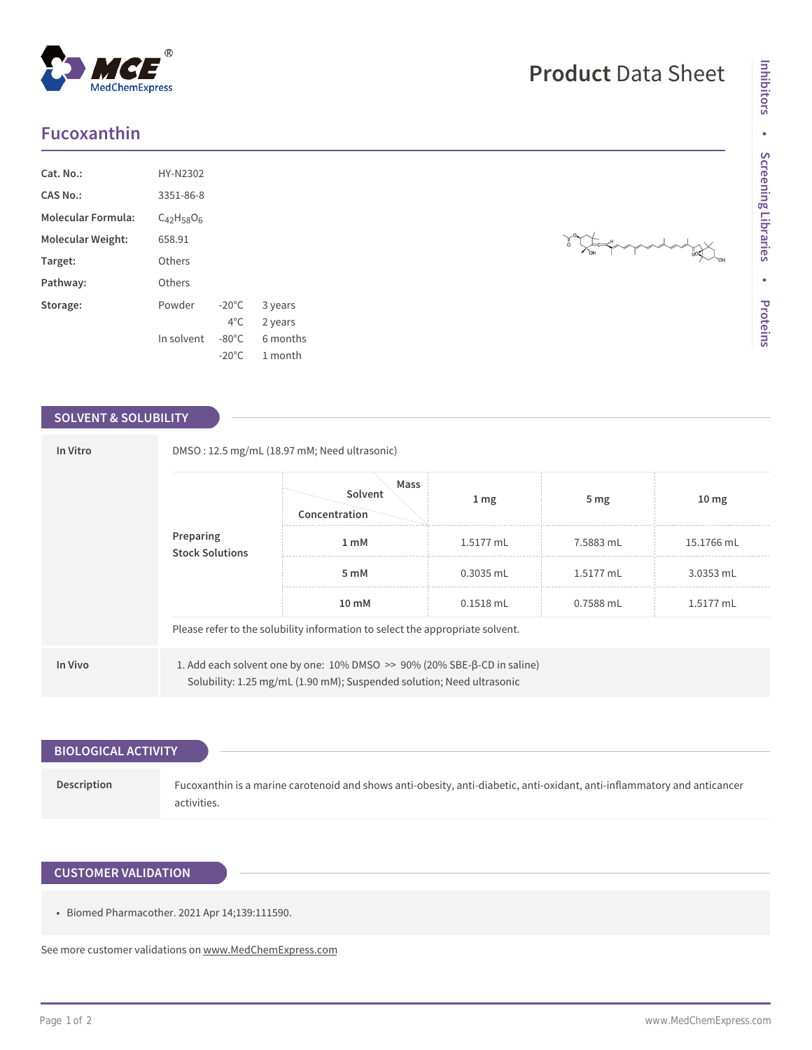# **Fucoxanthin**

| HY-N2302          |                 |          |  |
|-------------------|-----------------|----------|--|
| 3351-86-8         |                 |          |  |
| $C_{42}H_{58}O_6$ |                 |          |  |
| 658.91            |                 |          |  |
| Others            |                 |          |  |
| Others            |                 |          |  |
| Powder            | $-20^{\circ}$ C | 3 years  |  |
|                   | $4^{\circ}$ C.  | 2 years  |  |
| In solvent        | $-80^{\circ}$ C | 6 months |  |
|                   | $-20^{\circ}$ C | 1 month  |  |
|                   |                 |          |  |

### **SOLVENT & SOLUBILITY**

| In Vitro |                                                                                                                                                                 | DMSO: 12.5 mg/mL (18.97 mM; Need ultrasonic)<br>Mass                          |                  |                 |                  |  |  |
|----------|-----------------------------------------------------------------------------------------------------------------------------------------------------------------|-------------------------------------------------------------------------------|------------------|-----------------|------------------|--|--|
|          |                                                                                                                                                                 | Solvent<br>Concentration                                                      | $1 \, \text{mg}$ | 5 <sub>mg</sub> | 10 <sub>mg</sub> |  |  |
|          | Preparing<br><b>Stock Solutions</b>                                                                                                                             | 1 mM                                                                          | 1.5177 mL        | 7.5883 mL       | 15.1766 mL       |  |  |
|          |                                                                                                                                                                 | 5 mM                                                                          | $0.3035$ mL      | 1.5177 mL       | 3.0353 mL        |  |  |
|          |                                                                                                                                                                 | 10 mM                                                                         | $0.1518$ mL      | 0.7588 mL       | 1.5177 mL        |  |  |
|          |                                                                                                                                                                 | Please refer to the solubility information to select the appropriate solvent. |                  |                 |                  |  |  |
| In Vivo  | 1. Add each solvent one by one: $10\%$ DMSO $\gg$ 90% (20% SBE- $\beta$ -CD in saline)<br>Solubility: 1.25 mg/mL (1.90 mM); Suspended solution; Need ultrasonic |                                                                               |                  |                 |                  |  |  |

### **BIOLOGICAL ACTIVITY**

**Description** Fucoxanthin is a marine carotenoid and shows anti-obesity, anti-diabetic, anti-oxidant, anti-inflammatory and anticancer activities.

## **CUSTOMER VALIDATION**

• Biomed Pharmacother. 2021 Apr 14;139:111590.

See more customer validations on<www.MedChemExpress.com>

# **Product** Data Sheet

 $\frac{1}{\sqrt{\frac{3}{\sqrt{N}}}}$